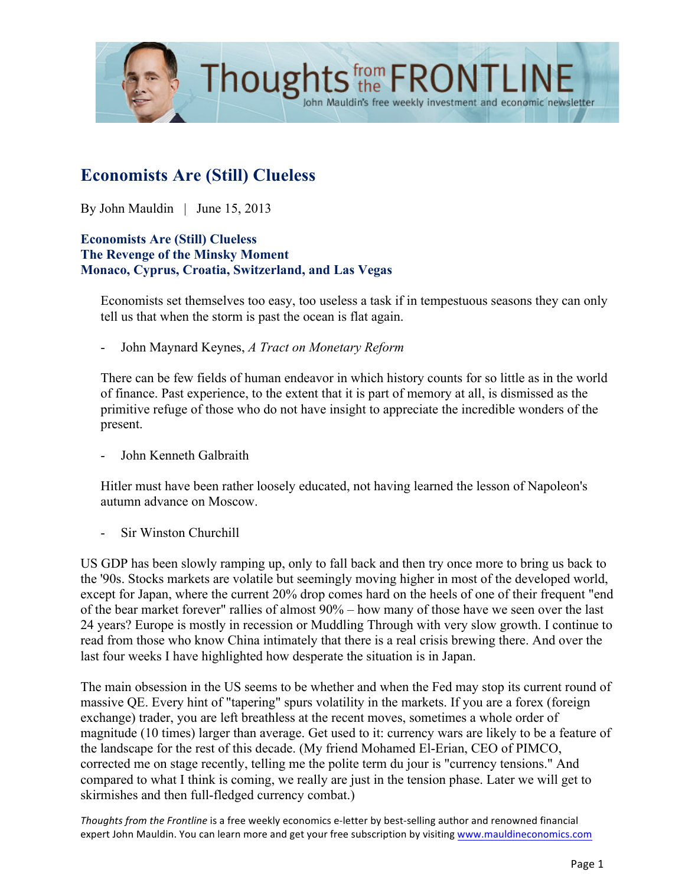

# **Economists Are (Still) Clueless**

By John Mauldin | June 15, 2013

#### **Economists Are (Still) Clueless The Revenge of the Minsky Moment Monaco, Cyprus, Croatia, Switzerland, and Las Vegas**

Economists set themselves too easy, too useless a task if in tempestuous seasons they can only tell us that when the storm is past the ocean is flat again.

John Mauldin's free weekly investment and economic newsletter

- John Maynard Keynes, *A Tract on Monetary Reform*

There can be few fields of human endeavor in which history counts for so little as in the world of finance. Past experience, to the extent that it is part of memory at all, is dismissed as the primitive refuge of those who do not have insight to appreciate the incredible wonders of the present.

John Kenneth Galbraith

Hitler must have been rather loosely educated, not having learned the lesson of Napoleon's autumn advance on Moscow.

Sir Winston Churchill

US GDP has been slowly ramping up, only to fall back and then try once more to bring us back to the '90s. Stocks markets are volatile but seemingly moving higher in most of the developed world, except for Japan, where the current 20% drop comes hard on the heels of one of their frequent "end of the bear market forever" rallies of almost 90% – how many of those have we seen over the last 24 years? Europe is mostly in recession or Muddling Through with very slow growth. I continue to read from those who know China intimately that there is a real crisis brewing there. And over the last four weeks I have highlighted how desperate the situation is in Japan.

The main obsession in the US seems to be whether and when the Fed may stop its current round of massive QE. Every hint of "tapering" spurs volatility in the markets. If you are a forex (foreign exchange) trader, you are left breathless at the recent moves, sometimes a whole order of magnitude (10 times) larger than average. Get used to it: currency wars are likely to be a feature of the landscape for the rest of this decade. (My friend Mohamed El-Erian, CEO of PIMCO, corrected me on stage recently, telling me the polite term du jour is "currency tensions." And compared to what I think is coming, we really are just in the tension phase. Later we will get to skirmishes and then full-fledged currency combat.)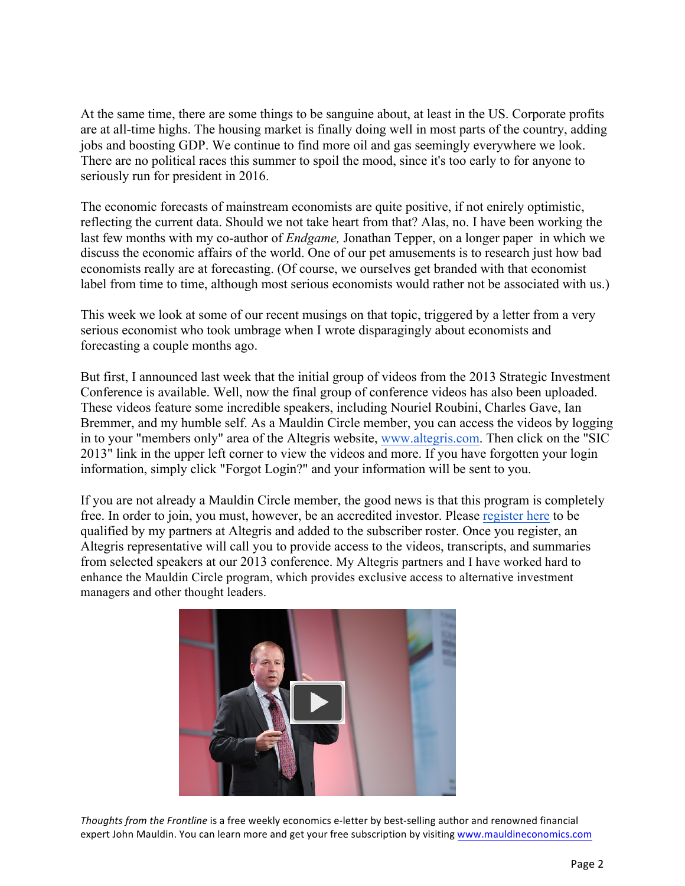At the same time, there are some things to be sanguine about, at least in the US. Corporate profits are at all-time highs. The housing market is finally doing well in most parts of the country, adding jobs and boosting GDP. We continue to find more oil and gas seemingly everywhere we look. There are no political races this summer to spoil the mood, since it's too early to for anyone to seriously run for president in 2016.

The economic forecasts of mainstream economists are quite positive, if not enirely optimistic, reflecting the current data. Should we not take heart from that? Alas, no. I have been working the last few months with my co-author of *Endgame,* Jonathan Tepper, on a longer paper in which we discuss the economic affairs of the world. One of our pet amusements is to research just how bad economists really are at forecasting. (Of course, we ourselves get branded with that economist label from time to time, although most serious economists would rather not be associated with us.)

This week we look at some of our recent musings on that topic, triggered by a letter from a very serious economist who took umbrage when I wrote disparagingly about economists and forecasting a couple months ago.

But first, I announced last week that the initial group of videos from the 2013 Strategic Investment Conference is available. Well, now the final group of conference videos has also been uploaded. These videos feature some incredible speakers, including Nouriel Roubini, Charles Gave, Ian Bremmer, and my humble self. As a Mauldin Circle member, you can access the videos by logging in to your "members only" area of the Altegris website, [www.altegris.com.](http://email.mauldineconomics.com/wf/click?upn=U8GusXYvzQrI-2BTfpBInOi3OAxjxPtP4OU2C6vUbHNJw-3D_9ADxDIh8L0i5auiORVfRopLyAPxKz8vj7xu6V8oyZZlxC4Z0zfHM3ZHaVlvtml8P7EWL-2FNkJwOL8MndJdzYU1IiTB9yQKxcwgURU7kNr-2FyiHr6sW7AufflY-2FSDVjkHwQkK8xVNyyo-2FaZZfyP2gdYVTxuVyU8VGZ-2Foo2m-2BFFjVP86YWxa1doM3aMp7Yby-2BxIrR4SleiaM92wNxBTgxlkjgA-3D-3D) Then click on the "SIC 2013" link in the upper left corner to view the videos and more. If you have forgotten your login information, simply click "Forgot Login?" and your information will be sent to you.

If you are not already a Mauldin Circle member, the good news is that this program is completely free. In order to join, you must, however, be an accredited investor. Please [register here](http://www.altegris.com/MauldinSICVideo.aspx) to be qualified by my partners at Altegris and added to the subscriber roster. Once you register, an Altegris representative will call you to provide access to the videos, transcripts, and summaries from selected speakers at our 2013 conference. My Altegris partners and I have worked hard to enhance the Mauldin Circle program, which provides exclusive access to alternative investment managers and other thought leaders.

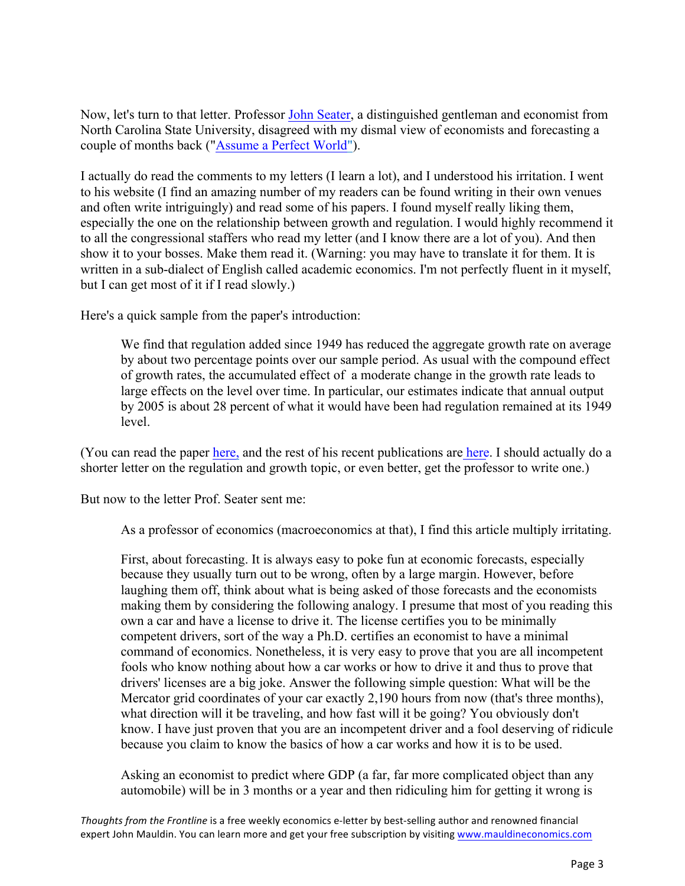Now, let's turn to that letter. Professor [John Seater,](http://www4.ncsu.edu/~jjseater/) a distinguished gentleman and economist from North Carolina State University, disagreed with my dismal view of economists and forecasting a couple of months back (["Assume a Perfect World"](http://www.mauldineconomics.com/frontlinethoughts/assume-a-perfect-world/P10)).

I actually do read the comments to my letters (I learn a lot), and I understood his irritation. I went to his website (I find an amazing number of my readers can be found writing in their own venues and often write intriguingly) and read some of his papers. I found myself really liking them, especially the one on the relationship between growth and regulation. I would highly recommend it to all the congressional staffers who read my letter (and I know there are a lot of you). And then show it to your bosses. Make them read it. (Warning: you may have to translate it for them. It is written in a sub-dialect of English called academic economics. I'm not perfectly fluent in it myself, but I can get most of it if I read slowly.)

Here's a quick sample from the paper's introduction:

We find that regulation added since 1949 has reduced the aggregate growth rate on average by about two percentage points over our sample period. As usual with the compound effect of growth rates, the accumulated effect of a moderate change in the growth rate leads to large effects on the level over time. In particular, our estimates indicate that annual output by 2005 is about 28 percent of what it would have been had regulation remained at its 1949 level.

(You can read the paper [here](http://www4.ncsu.edu/~jjseater/regulationandgrowth.pdf), and the rest of his recent publications ar[e here](http://www4.ncsu.edu/~jjseater/index_003.htm). I should actually do a shorter letter on the regulation and growth topic, or even better, get the professor to write one.)

But now to the letter Prof. Seater sent me:

As a professor of economics (macroeconomics at that), I find this article multiply irritating.

First, about forecasting. It is always easy to poke fun at economic forecasts, especially because they usually turn out to be wrong, often by a large margin. However, before laughing them off, think about what is being asked of those forecasts and the economists making them by considering the following analogy. I presume that most of you reading this own a car and have a license to drive it. The license certifies you to be minimally competent drivers, sort of the way a Ph.D. certifies an economist to have a minimal command of economics. Nonetheless, it is very easy to prove that you are all incompetent fools who know nothing about how a car works or how to drive it and thus to prove that drivers' licenses are a big joke. Answer the following simple question: What will be the Mercator grid coordinates of your car exactly 2,190 hours from now (that's three months), what direction will it be traveling, and how fast will it be going? You obviously don't know. I have just proven that you are an incompetent driver and a fool deserving of ridicule because you claim to know the basics of how a car works and how it is to be used.

Asking an economist to predict where GDP (a far, far more complicated object than any automobile) will be in 3 months or a year and then ridiculing him for getting it wrong is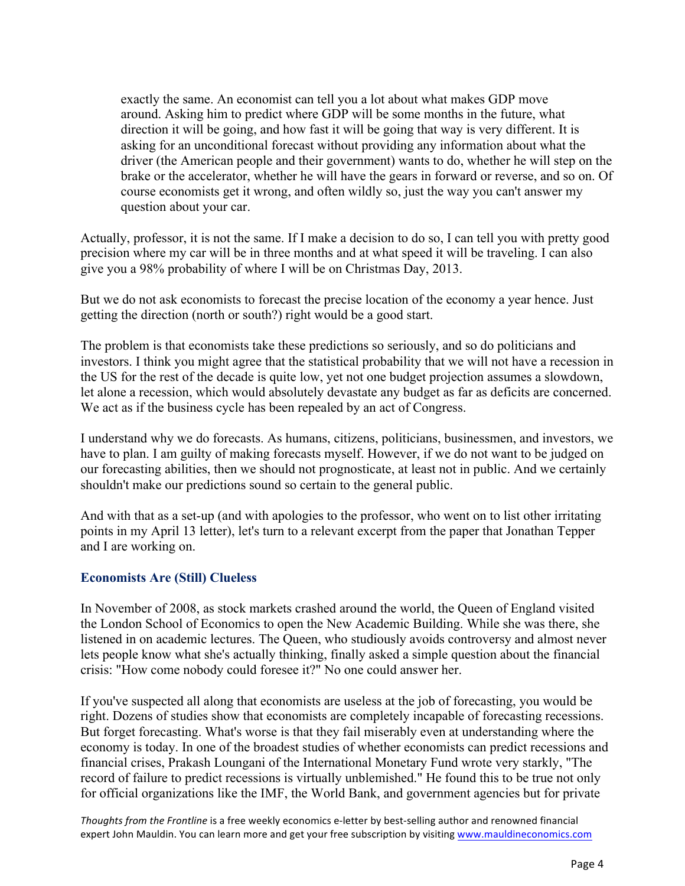exactly the same. An economist can tell you a lot about what makes GDP move around. Asking him to predict where GDP will be some months in the future, what direction it will be going, and how fast it will be going that way is very different. It is asking for an unconditional forecast without providing any information about what the driver (the American people and their government) wants to do, whether he will step on the brake or the accelerator, whether he will have the gears in forward or reverse, and so on. Of course economists get it wrong, and often wildly so, just the way you can't answer my question about your car.

Actually, professor, it is not the same. If I make a decision to do so, I can tell you with pretty good precision where my car will be in three months and at what speed it will be traveling. I can also give you a 98% probability of where I will be on Christmas Day, 2013.

But we do not ask economists to forecast the precise location of the economy a year hence. Just getting the direction (north or south?) right would be a good start.

The problem is that economists take these predictions so seriously, and so do politicians and investors. I think you might agree that the statistical probability that we will not have a recession in the US for the rest of the decade is quite low, yet not one budget projection assumes a slowdown, let alone a recession, which would absolutely devastate any budget as far as deficits are concerned. We act as if the business cycle has been repealed by an act of Congress.

I understand why we do forecasts. As humans, citizens, politicians, businessmen, and investors, we have to plan. I am guilty of making forecasts myself. However, if we do not want to be judged on our forecasting abilities, then we should not prognosticate, at least not in public. And we certainly shouldn't make our predictions sound so certain to the general public.

And with that as a set-up (and with apologies to the professor, who went on to list other irritating points in my April 13 letter), let's turn to a relevant excerpt from the paper that Jonathan Tepper and I are working on.

### **Economists Are (Still) Clueless**

In November of 2008, as stock markets crashed around the world, the Queen of England visited the London School of Economics to open the New Academic Building. While she was there, she listened in on academic lectures. The Queen, who studiously avoids controversy and almost never lets people know what she's actually thinking, finally asked a simple question about the financial crisis: "How come nobody could foresee it?" No one could answer her.

If you've suspected all along that economists are useless at the job of forecasting, you would be right. Dozens of studies show that economists are completely incapable of forecasting recessions. But forget forecasting. What's worse is that they fail miserably even at understanding where the economy is today. In one of the broadest studies of whether economists can predict recessions and financial crises, Prakash Loungani of the International Monetary Fund wrote very starkly, "The record of failure to predict recessions is virtually unblemished." He found this to be true not only for official organizations like the IMF, the World Bank, and government agencies but for private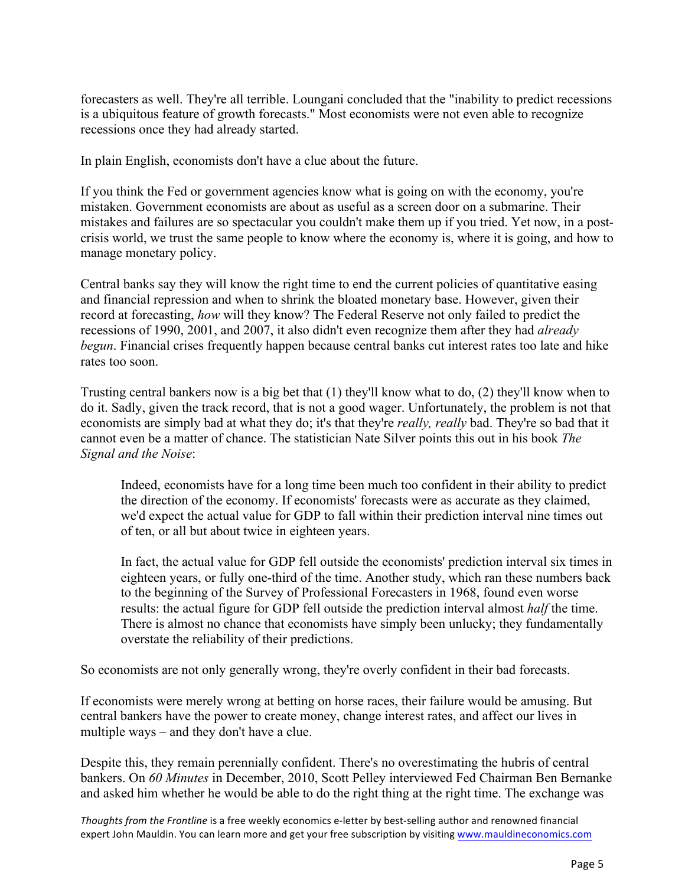forecasters as well. They're all terrible. Loungani concluded that the "inability to predict recessions is a ubiquitous feature of growth forecasts." Most economists were not even able to recognize recessions once they had already started.

In plain English, economists don't have a clue about the future.

If you think the Fed or government agencies know what is going on with the economy, you're mistaken. Government economists are about as useful as a screen door on a submarine. Their mistakes and failures are so spectacular you couldn't make them up if you tried. Yet now, in a postcrisis world, we trust the same people to know where the economy is, where it is going, and how to manage monetary policy.

Central banks say they will know the right time to end the current policies of quantitative easing and financial repression and when to shrink the bloated monetary base. However, given their record at forecasting, *how* will they know? The Federal Reserve not only failed to predict the recessions of 1990, 2001, and 2007, it also didn't even recognize them after they had *already begun*. Financial crises frequently happen because central banks cut interest rates too late and hike rates too soon.

Trusting central bankers now is a big bet that (1) they'll know what to do, (2) they'll know when to do it. Sadly, given the track record, that is not a good wager. Unfortunately, the problem is not that economists are simply bad at what they do; it's that they're *really, really* bad. They're so bad that it cannot even be a matter of chance. The statistician Nate Silver points this out in his book *The Signal and the Noise*:

Indeed, economists have for a long time been much too confident in their ability to predict the direction of the economy. If economists' forecasts were as accurate as they claimed, we'd expect the actual value for GDP to fall within their prediction interval nine times out of ten, or all but about twice in eighteen years.

In fact, the actual value for GDP fell outside the economists' prediction interval six times in eighteen years, or fully one-third of the time. Another study, which ran these numbers back to the beginning of the Survey of Professional Forecasters in 1968, found even worse results: the actual figure for GDP fell outside the prediction interval almost *half* the time. There is almost no chance that economists have simply been unlucky; they fundamentally overstate the reliability of their predictions.

So economists are not only generally wrong, they're overly confident in their bad forecasts.

If economists were merely wrong at betting on horse races, their failure would be amusing. But central bankers have the power to create money, change interest rates, and affect our lives in multiple ways – and they don't have a clue.

Despite this, they remain perennially confident. There's no overestimating the hubris of central bankers. On *60 Minutes* in December, 2010, Scott Pelley interviewed Fed Chairman Ben Bernanke and asked him whether he would be able to do the right thing at the right time. The exchange was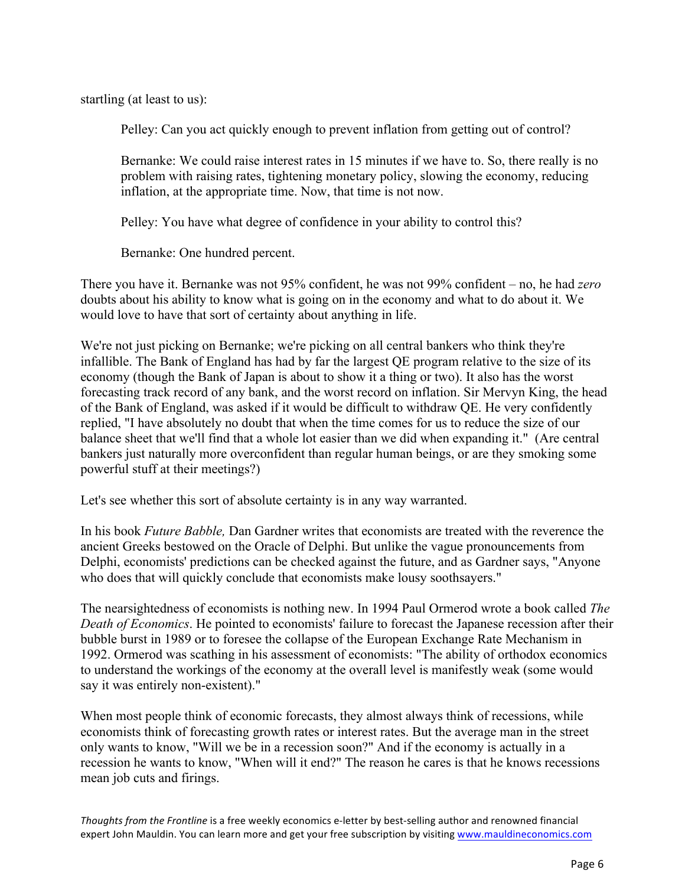startling (at least to us):

Pelley: Can you act quickly enough to prevent inflation from getting out of control?

Bernanke: We could raise interest rates in 15 minutes if we have to. So, there really is no problem with raising rates, tightening monetary policy, slowing the economy, reducing inflation, at the appropriate time. Now, that time is not now.

Pelley: You have what degree of confidence in your ability to control this?

Bernanke: One hundred percent.

There you have it. Bernanke was not 95% confident, he was not 99% confident – no, he had *zero* doubts about his ability to know what is going on in the economy and what to do about it. We would love to have that sort of certainty about anything in life.

We're not just picking on Bernanke; we're picking on all central bankers who think they're infallible. The Bank of England has had by far the largest QE program relative to the size of its economy (though the Bank of Japan is about to show it a thing or two). It also has the worst forecasting track record of any bank, and the worst record on inflation. Sir Mervyn King, the head of the Bank of England, was asked if it would be difficult to withdraw QE. He very confidently replied, "I have absolutely no doubt that when the time comes for us to reduce the size of our balance sheet that we'll find that a whole lot easier than we did when expanding it." (Are central bankers just naturally more overconfident than regular human beings, or are they smoking some powerful stuff at their meetings?)

Let's see whether this sort of absolute certainty is in any way warranted.

In his book *Future Babble,* Dan Gardner writes that economists are treated with the reverence the ancient Greeks bestowed on the Oracle of Delphi. But unlike the vague pronouncements from Delphi, economists' predictions can be checked against the future, and as Gardner says, "Anyone who does that will quickly conclude that economists make lousy soothsayers."

The nearsightedness of economists is nothing new. In 1994 Paul Ormerod wrote a book called *The Death of Economics*. He pointed to economists' failure to forecast the Japanese recession after their bubble burst in 1989 or to foresee the collapse of the European Exchange Rate Mechanism in 1992. Ormerod was scathing in his assessment of economists: "The ability of orthodox economics to understand the workings of the economy at the overall level is manifestly weak (some would say it was entirely non-existent)."

When most people think of economic forecasts, they almost always think of recessions, while economists think of forecasting growth rates or interest rates. But the average man in the street only wants to know, "Will we be in a recession soon?" And if the economy is actually in a recession he wants to know, "When will it end?" The reason he cares is that he knows recessions mean job cuts and firings.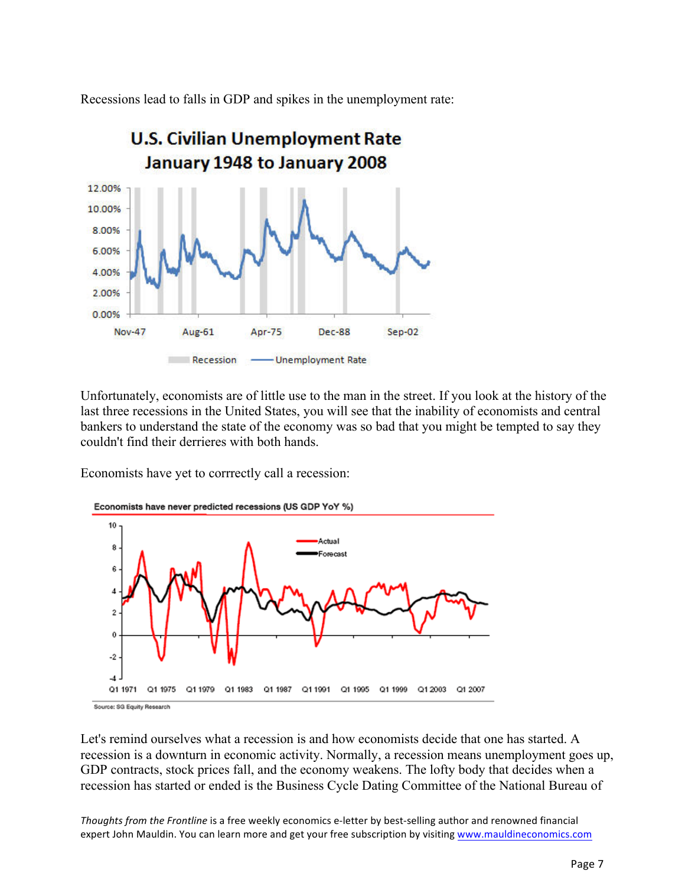Recessions lead to falls in GDP and spikes in the unemployment rate:



Unfortunately, economists are of little use to the man in the street. If you look at the history of the last three recessions in the United States, you will see that the inability of economists and central bankers to understand the state of the economy was so bad that you might be tempted to say they couldn't find their derrieres with both hands.

Economists have yet to corrrectly call a recession:



Source: SG Equity Research

Let's remind ourselves what a recession is and how economists decide that one has started. A recession is a downturn in economic activity. Normally, a recession means unemployment goes up, GDP contracts, stock prices fall, and the economy weakens. The lofty body that decides when a recession has started or ended is the Business Cycle Dating Committee of the National Bureau of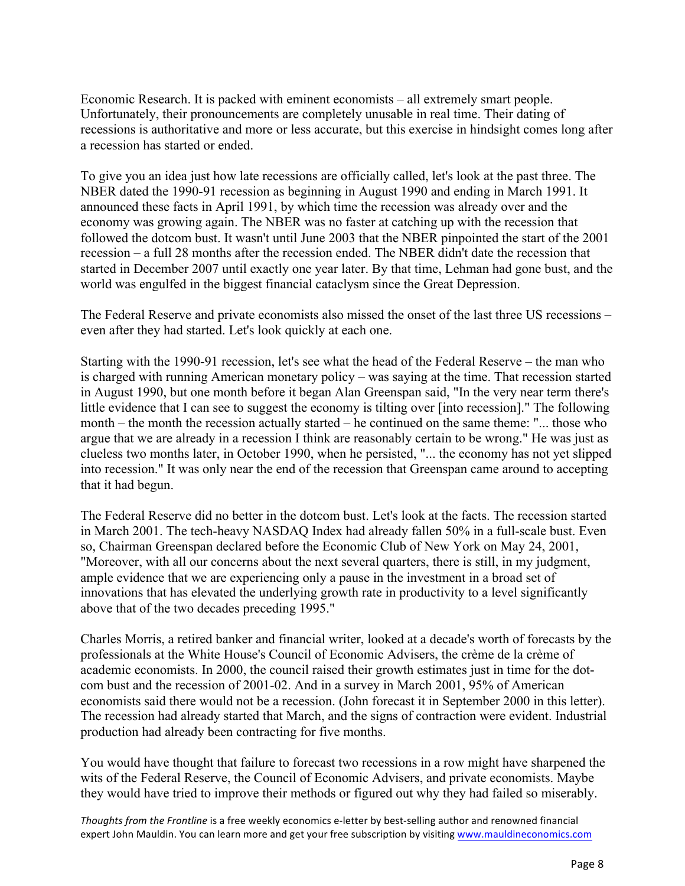Economic Research. It is packed with eminent economists – all extremely smart people. Unfortunately, their pronouncements are completely unusable in real time. Their dating of recessions is authoritative and more or less accurate, but this exercise in hindsight comes long after a recession has started or ended.

To give you an idea just how late recessions are officially called, let's look at the past three. The NBER dated the 1990-91 recession as beginning in August 1990 and ending in March 1991. It announced these facts in April 1991, by which time the recession was already over and the economy was growing again. The NBER was no faster at catching up with the recession that followed the dotcom bust. It wasn't until June 2003 that the NBER pinpointed the start of the 2001 recession – a full 28 months after the recession ended. The NBER didn't date the recession that started in December 2007 until exactly one year later. By that time, Lehman had gone bust, and the world was engulfed in the biggest financial cataclysm since the Great Depression.

The Federal Reserve and private economists also missed the onset of the last three US recessions – even after they had started. Let's look quickly at each one.

Starting with the 1990-91 recession, let's see what the head of the Federal Reserve – the man who is charged with running American monetary policy – was saying at the time. That recession started in August 1990, but one month before it began Alan Greenspan said, "In the very near term there's little evidence that I can see to suggest the economy is tilting over [into recession]." The following month – the month the recession actually started – he continued on the same theme: "... those who argue that we are already in a recession I think are reasonably certain to be wrong." He was just as clueless two months later, in October 1990, when he persisted, "... the economy has not yet slipped into recession." It was only near the end of the recession that Greenspan came around to accepting that it had begun.

The Federal Reserve did no better in the dotcom bust. Let's look at the facts. The recession started in March 2001. The tech-heavy NASDAQ Index had already fallen 50% in a full-scale bust. Even so, Chairman Greenspan declared before the Economic Club of New York on May 24, 2001, "Moreover, with all our concerns about the next several quarters, there is still, in my judgment, ample evidence that we are experiencing only a pause in the investment in a broad set of innovations that has elevated the underlying growth rate in productivity to a level significantly above that of the two decades preceding 1995."

Charles Morris, a retired banker and financial writer, looked at a decade's worth of forecasts by the professionals at the White House's Council of Economic Advisers, the crème de la crème of academic economists. In 2000, the council raised their growth estimates just in time for the dotcom bust and the recession of 2001-02. And in a survey in March 2001, 95% of American economists said there would not be a recession. (John forecast it in September 2000 in this letter). The recession had already started that March, and the signs of contraction were evident. Industrial production had already been contracting for five months.

You would have thought that failure to forecast two recessions in a row might have sharpened the wits of the Federal Reserve, the Council of Economic Advisers, and private economists. Maybe they would have tried to improve their methods or figured out why they had failed so miserably.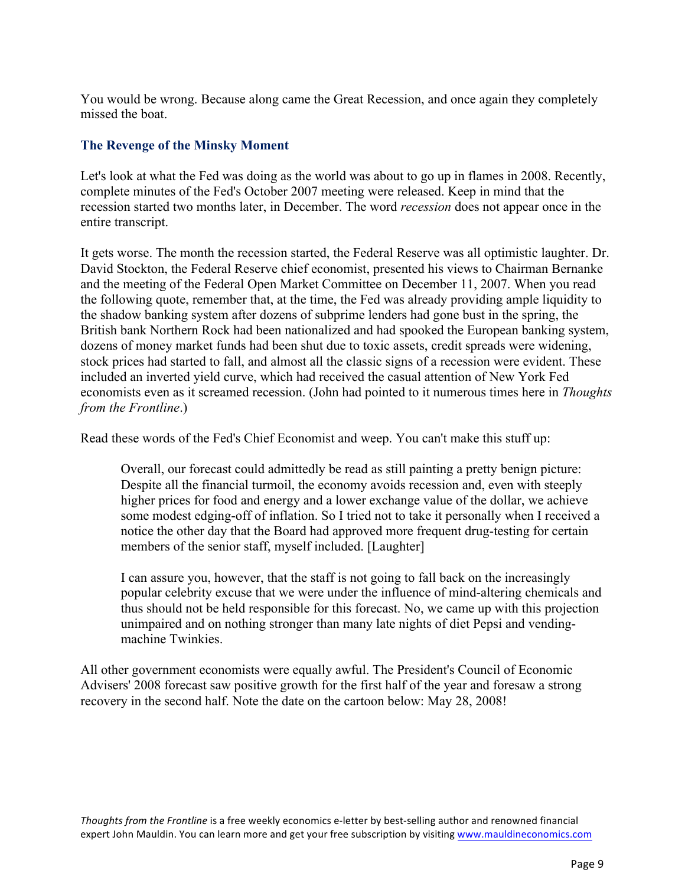You would be wrong. Because along came the Great Recession, and once again they completely missed the boat.

#### **The Revenge of the Minsky Moment**

Let's look at what the Fed was doing as the world was about to go up in flames in 2008. Recently, complete minutes of the Fed's October 2007 meeting were released. Keep in mind that the recession started two months later, in December. The word *recession* does not appear once in the entire transcript.

It gets worse. The month the recession started, the Federal Reserve was all optimistic laughter. Dr. David Stockton, the Federal Reserve chief economist, presented his views to Chairman Bernanke and the meeting of the Federal Open Market Committee on December 11, 2007. When you read the following quote, remember that, at the time, the Fed was already providing ample liquidity to the shadow banking system after dozens of subprime lenders had gone bust in the spring, the British bank Northern Rock had been nationalized and had spooked the European banking system, dozens of money market funds had been shut due to toxic assets, credit spreads were widening, stock prices had started to fall, and almost all the classic signs of a recession were evident. These included an inverted yield curve, which had received the casual attention of New York Fed economists even as it screamed recession. (John had pointed to it numerous times here in *Thoughts from the Frontline*.)

Read these words of the Fed's Chief Economist and weep. You can't make this stuff up:

Overall, our forecast could admittedly be read as still painting a pretty benign picture: Despite all the financial turmoil, the economy avoids recession and, even with steeply higher prices for food and energy and a lower exchange value of the dollar, we achieve some modest edging-off of inflation. So I tried not to take it personally when I received a notice the other day that the Board had approved more frequent drug-testing for certain members of the senior staff, myself included. [Laughter]

I can assure you, however, that the staff is not going to fall back on the increasingly popular celebrity excuse that we were under the influence of mind-altering chemicals and thus should not be held responsible for this forecast. No, we came up with this projection unimpaired and on nothing stronger than many late nights of diet Pepsi and vendingmachine Twinkies.

All other government economists were equally awful. The President's Council of Economic Advisers' 2008 forecast saw positive growth for the first half of the year and foresaw a strong recovery in the second half. Note the date on the cartoon below: May 28, 2008!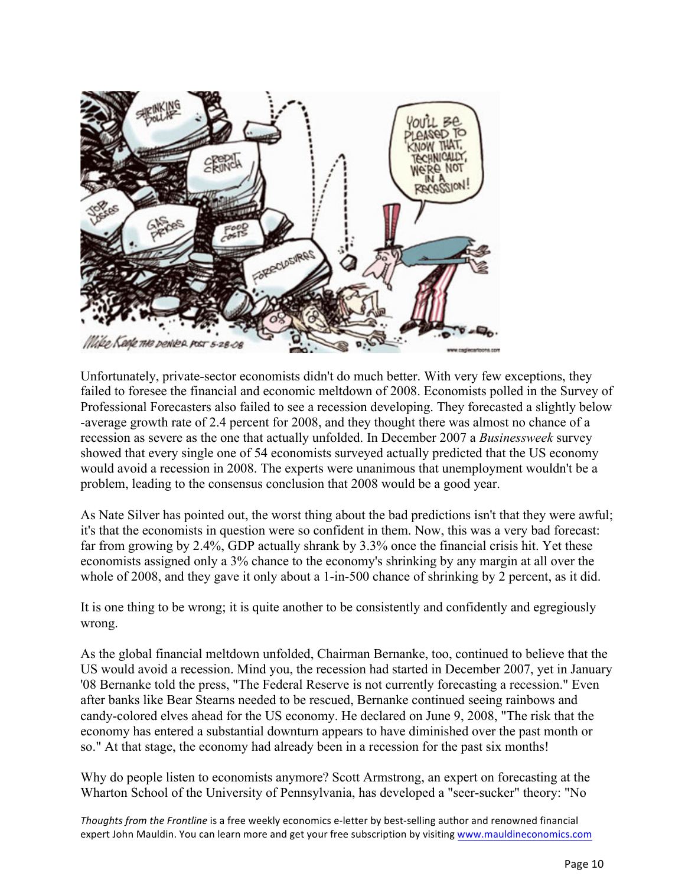

Unfortunately, private-sector economists didn't do much better. With very few exceptions, they failed to foresee the financial and economic meltdown of 2008. Economists polled in the Survey of Professional Forecasters also failed to see a recession developing. They forecasted a slightly below -average growth rate of 2.4 percent for 2008, and they thought there was almost no chance of a recession as severe as the one that actually unfolded. In December 2007 a *Businessweek* survey showed that every single one of 54 economists surveyed actually predicted that the US economy would avoid a recession in 2008. The experts were unanimous that unemployment wouldn't be a problem, leading to the consensus conclusion that 2008 would be a good year.

As Nate Silver has pointed out, the worst thing about the bad predictions isn't that they were awful; it's that the economists in question were so confident in them. Now, this was a very bad forecast: far from growing by 2.4%, GDP actually shrank by 3.3% once the financial crisis hit. Yet these economists assigned only a 3% chance to the economy's shrinking by any margin at all over the whole of 2008, and they gave it only about a 1-in-500 chance of shrinking by 2 percent, as it did.

It is one thing to be wrong; it is quite another to be consistently and confidently and egregiously wrong.

As the global financial meltdown unfolded, Chairman Bernanke, too, continued to believe that the US would avoid a recession. Mind you, the recession had started in December 2007, yet in January '08 Bernanke told the press, "The Federal Reserve is not currently forecasting a recession." Even after banks like Bear Stearns needed to be rescued, Bernanke continued seeing rainbows and candy-colored elves ahead for the US economy. He declared on June 9, 2008, "The risk that the economy has entered a substantial downturn appears to have diminished over the past month or so." At that stage, the economy had already been in a recession for the past six months!

Why do people listen to economists anymore? Scott Armstrong, an expert on forecasting at the Wharton School of the University of Pennsylvania, has developed a "seer-sucker" theory: "No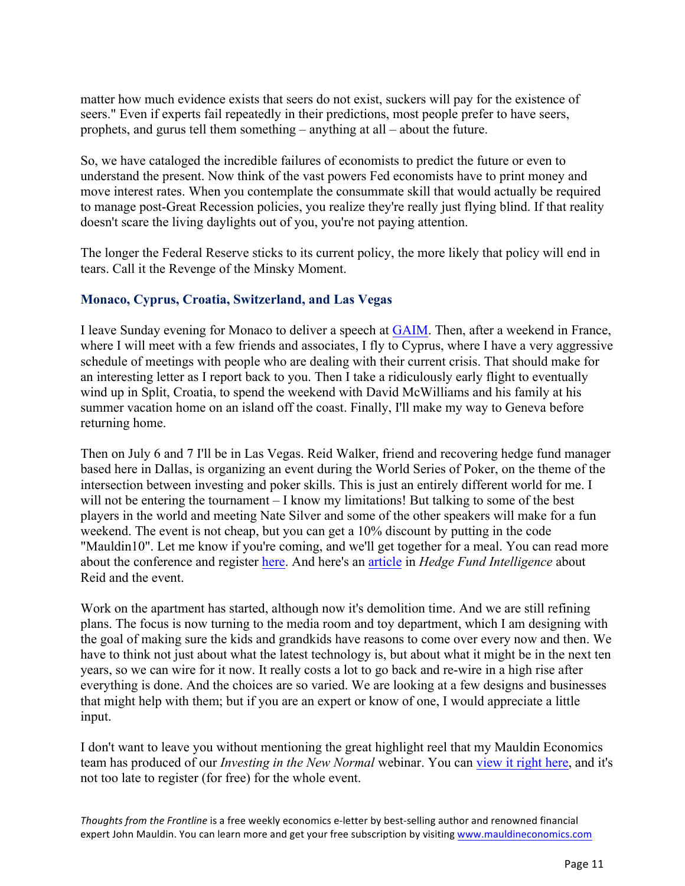matter how much evidence exists that seers do not exist, suckers will pay for the existence of seers." Even if experts fail repeatedly in their predictions, most people prefer to have seers, prophets, and gurus tell them something – anything at all – about the future.

So, we have cataloged the incredible failures of economists to predict the future or even to understand the present. Now think of the vast powers Fed economists have to print money and move interest rates. When you contemplate the consummate skill that would actually be required to manage post-Great Recession policies, you realize they're really just flying blind. If that reality doesn't scare the living daylights out of you, you're not paying attention.

The longer the Federal Reserve sticks to its current policy, the more likely that policy will end in tears. Call it the Revenge of the Minsky Moment.

### **Monaco, Cyprus, Croatia, Switzerland, and Las Vegas**

I leave Sunday evening for Monaco to deliver a speech at [GAIM.](http://www.icbi-gaim.com/page?xtssot=0) Then, after a weekend in France, where I will meet with a few friends and associates, I fly to Cyprus, where I have a very aggressive schedule of meetings with people who are dealing with their current crisis. That should make for an interesting letter as I report back to you. Then I take a ridiculously early flight to eventually wind up in Split, Croatia, to spend the weekend with David McWilliams and his family at his summer vacation home on an island off the coast. Finally, I'll make my way to Geneva before returning home.

Then on July 6 and 7 I'll be in Las Vegas. Reid Walker, friend and recovering hedge fund manager based here in Dallas, is organizing an event during the World Series of Poker, on the theme of the intersection between investing and poker skills. This is just an entirely different world for me. I will not be entering the tournament – I know my limitations! But talking to some of the best players in the world and meeting Nate Silver and some of the other speakers will make for a fun weekend. The event is not cheap, but you can get a 10% discount by putting in the code "Mauldin10". Let me know if you're coming, and we'll get together for a meal. You can read more about the conference and register [here.](http://www.macrosports.co) And here's an [article](http://www.hedgefundintelligence.com/Article/3212072/Hedge-fund-and-poker-pros-to-go-heads-up-in-Vegas.html) in *Hedge Fund Intelligence* about Reid and the event.

Work on the apartment has started, although now it's demolition time. And we are still refining plans. The focus is now turning to the media room and toy department, which I am designing with the goal of making sure the kids and grandkids have reasons to come over every now and then. We have to think not just about what the latest technology is, but about what it might be in the next ten years, so we can wire for it now. It really costs a lot to go back and re-wire in a high rise after everything is done. And the choices are so varied. We are looking at a few designs and businesses that might help with them; but if you are an expert or know of one, I would appreciate a little input.

I don't want to leave you without mentioning the great highlight reel that my Mauldin Economics team has produced of our *Investing in the New Normal* webinar. You can [view it right here,](http://inn.mauldineconomics.com/go/bxgfy/MEC) and it's not too late to register (for free) for the whole event.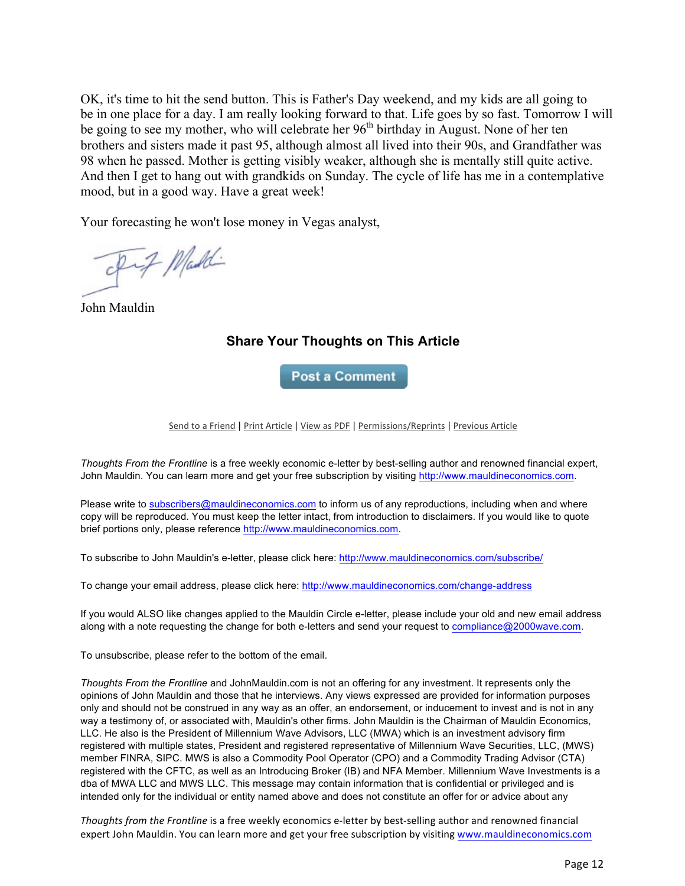OK, it's time to hit the send button. This is Father's Day weekend, and my kids are all going to be in one place for a day. I am really looking forward to that. Life goes by so fast. Tomorrow I will be going to see my mother, who will celebrate her 96<sup>th</sup> birthday in August. None of her ten brothers and sisters made it past 95, although almost all lived into their 90s, and Grandfather was 98 when he passed. Mother is getting visibly weaker, although she is mentally still quite active. And then I get to hang out with grandkids on Sunday. The cycle of life has me in a contemplative mood, but in a good way. Have a great week!

Your forecasting he won't lose money in Vegas analyst,

Fif Maddi

John Mauldin

## **Share Your Thoughts on This Article**

**Post a Comment** 

#### Send to a Friend | Print Article | View as PDF | Permissions/Reprints | Previous Article

*Thoughts From the Frontline* is a free weekly economic e-letter by best-selling author and renowned financial expert, John Mauldin. You can learn more and get your free subscription by visiting [http://www.mauldineconomics.com.](http://www.mauldineconomics.com)

Please write to [subscribers@mauldineconomics.com](mailto:subscribers@mauldineconomics.com) to inform us of any reproductions, including when and where copy will be reproduced. You must keep the letter intact, from introduction to disclaimers. If you would like to quote brief portions only, please reference<http://www.mauldineconomics.com>.

To subscribe to John Mauldin's e-letter, please click here:<http://www.mauldineconomics.com/subscribe/>

To change your email address, please click here: <http://www.mauldineconomics.com/change-address>

If you would ALSO like changes applied to the Mauldin Circle e-letter, please include your old and new email address along with a note requesting the change for both e-letters and send your request to [compliance@2000wave.com.](compliance@2000wave.com)

To unsubscribe, please refer to the bottom of the email.

*Thoughts From the Frontline* and JohnMauldin.com is not an offering for any investment. It represents only the opinions of John Mauldin and those that he interviews. Any views expressed are provided for information purposes only and should not be construed in any way as an offer, an endorsement, or inducement to invest and is not in any way a testimony of, or associated with, Mauldin's other firms. John Mauldin is the Chairman of Mauldin Economics, LLC. He also is the President of Millennium Wave Advisors, LLC (MWA) which is an investment advisory firm registered with multiple states, President and registered representative of Millennium Wave Securities, LLC, (MWS) member FINRA, SIPC. MWS is also a Commodity Pool Operator (CPO) and a Commodity Trading Advisor (CTA) registered with the CFTC, as well as an Introducing Broker (IB) and NFA Member. Millennium Wave Investments is a dba of MWA LLC and MWS LLC. This message may contain information that is confidential or privileged and is intended only for the individual or entity named above and does not constitute an offer for or advice about any